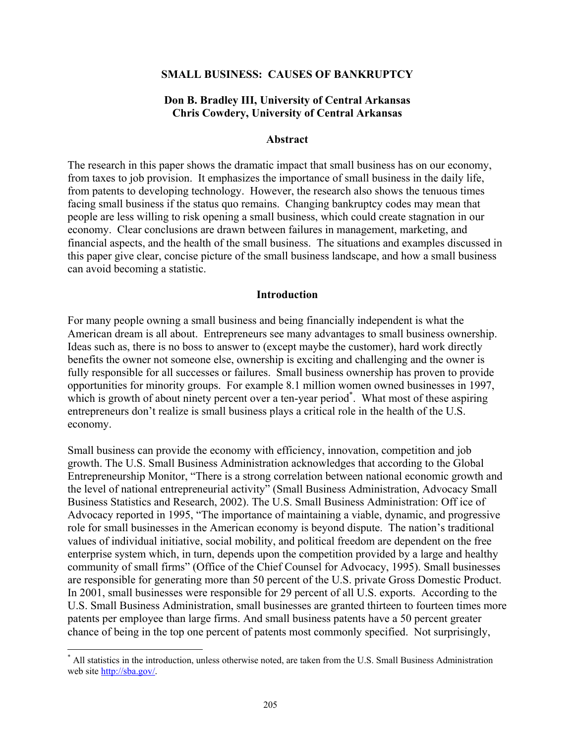#### **SMALL BUSINESS: CAUSES OF BANKRUPTCY**

#### **Don B. Bradley III, University of Central Arkansas Chris Cowdery, University of Central Arkansas**

#### **Abstract**

The research in this paper shows the dramatic impact that small business has on our economy, from taxes to job provision. It emphasizes the importance of small business in the daily life, from patents to developing technology. However, the research also shows the tenuous times facing small business if the status quo remains. Changing bankruptcy codes may mean that people are less willing to risk opening a small business, which could create stagnation in our economy. Clear conclusions are drawn between failures in management, marketing, and financial aspects, and the health of the small business. The situations and examples discussed in this paper give clear, concise picture of the small business landscape, and how a small business can avoid becoming a statistic.

#### **Introduction**

For many people owning a small business and being financially independent is what the American dream is all about. Entrepreneurs see many advantages to small business ownership. Ideas such as, there is no boss to answer to (except maybe the customer), hard work directly benefits the owner not someone else, ownership is exciting and challenging and the owner is fully responsible for all successes or failures. Small business ownership has proven to provide opportunities for minority groups. For example 8.1 million women owned businesses in 1997, which is growth of about ninety percent over a ten-year period<sup>\*</sup>. What most of these aspiring entrepreneurs don't realize is small business plays a critical role in the health of the U.S. economy.

Small business can provide the economy with efficiency, innovation, competition and job growth. The U.S. Small Business Administration acknowledges that according to the Global Entrepreneurship Monitor, "There is a strong correlation between national economic growth and the level of national entrepreneurial activity" (Small Business Administration, Advocacy Small Business Statistics and Research, 2002). The U.S. Small Business Administration: Off ice of Advocacy reported in 1995, "The importance of maintaining a viable, dynamic, and progressive role for small businesses in the American economy is beyond dispute. The nation's traditional values of individual initiative, social mobility, and political freedom are dependent on the free enterprise system which, in turn, depends upon the competition provided by a large and healthy community of small firms" (Office of the Chief Counsel for Advocacy, 1995). Small businesses are responsible for generating more than 50 percent of the U.S. private Gross Domestic Product. In 2001, small businesses were responsible for 29 percent of all U.S. exports. According to the U.S. Small Business Administration, small businesses are granted thirteen to fourteen times more patents per employee than large firms. And small business patents have a 50 percent greater chance of being in the top one percent of patents most commonly specified. Not surprisingly,

 $\overline{a}$ 

<sup>\*</sup> All statistics in the introduction, unless otherwise noted, are taken from the U.S. Small Business Administration web site http://sba.gov/.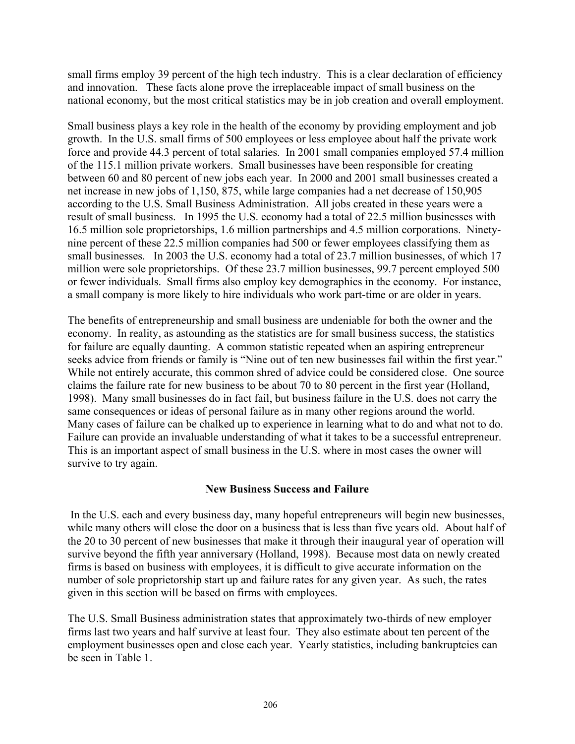small firms employ 39 percent of the high tech industry. This is a clear declaration of efficiency and innovation. These facts alone prove the irreplaceable impact of small business on the national economy, but the most critical statistics may be in job creation and overall employment.

Small business plays a key role in the health of the economy by providing employment and job growth. In the U.S. small firms of 500 employees or less employee about half the private work force and provide 44.3 percent of total salaries. In 2001 small companies employed 57.4 million of the 115.1 million private workers. Small businesses have been responsible for creating between 60 and 80 percent of new jobs each year. In 2000 and 2001 small businesses created a net increase in new jobs of 1,150, 875, while large companies had a net decrease of 150,905 according to the U.S. Small Business Administration. All jobs created in these years were a result of small business. In 1995 the U.S. economy had a total of 22.5 million businesses with 16.5 million sole proprietorships, 1.6 million partnerships and 4.5 million corporations. Ninetynine percent of these 22.5 million companies had 500 or fewer employees classifying them as small businesses. In 2003 the U.S. economy had a total of 23.7 million businesses, of which 17 million were sole proprietorships. Of these 23.7 million businesses, 99.7 percent employed 500 or fewer individuals. Small firms also employ key demographics in the economy. For instance, a small company is more likely to hire individuals who work part-time or are older in years.

The benefits of entrepreneurship and small business are undeniable for both the owner and the economy. In reality, as astounding as the statistics are for small business success, the statistics for failure are equally daunting. A common statistic repeated when an aspiring entrepreneur seeks advice from friends or family is "Nine out of ten new businesses fail within the first year." While not entirely accurate, this common shred of advice could be considered close. One source claims the failure rate for new business to be about 70 to 80 percent in the first year (Holland, 1998). Many small businesses do in fact fail, but business failure in the U.S. does not carry the same consequences or ideas of personal failure as in many other regions around the world. Many cases of failure can be chalked up to experience in learning what to do and what not to do. Failure can provide an invaluable understanding of what it takes to be a successful entrepreneur. This is an important aspect of small business in the U.S. where in most cases the owner will survive to try again.

# **New Business Success and Failure**

In the U.S. each and every business day, many hopeful entrepreneurs will begin new businesses, while many others will close the door on a business that is less than five years old. About half of the 20 to 30 percent of new businesses that make it through their inaugural year of operation will survive beyond the fifth year anniversary (Holland, 1998). Because most data on newly created firms is based on business with employees, it is difficult to give accurate information on the number of sole proprietorship start up and failure rates for any given year. As such, the rates given in this section will be based on firms with employees.

The U.S. Small Business administration states that approximately two-thirds of new employer firms last two years and half survive at least four. They also estimate about ten percent of the employment businesses open and close each year. Yearly statistics, including bankruptcies can be seen in Table 1.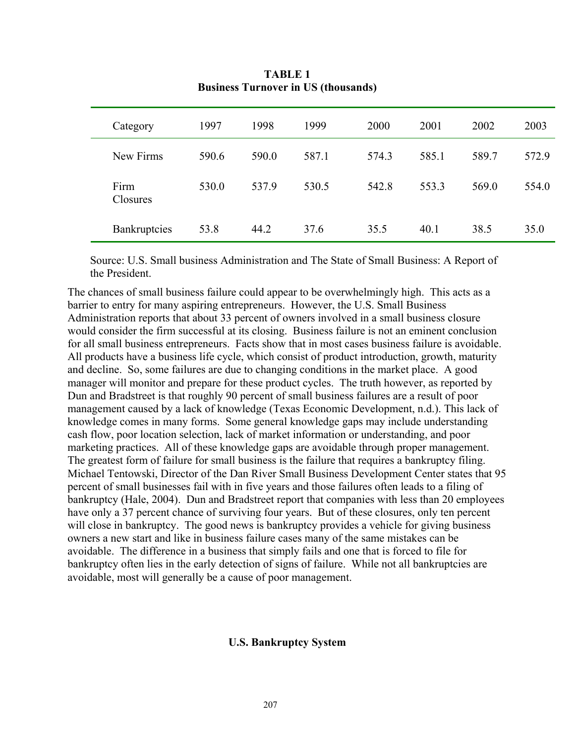| Category         | 1997  | 1998  | 1999  | 2000  | 2001  | 2002  | 2003  |
|------------------|-------|-------|-------|-------|-------|-------|-------|
| New Firms        | 590.6 | 590.0 | 587.1 | 574.3 | 585.1 | 589.7 | 572.9 |
| Firm<br>Closures | 530.0 | 537.9 | 530.5 | 542.8 | 553.3 | 569.0 | 554.0 |
| Bankruptcies     | 53.8  | 44.2  | 37.6  | 35.5  | 40.1  | 38.5  | 35.0  |

**TABLE 1 Business Turnover in US (thousands)** 

Source: U.S. Small business Administration and The State of Small Business: A Report of the President.

The chances of small business failure could appear to be overwhelmingly high. This acts as a barrier to entry for many aspiring entrepreneurs. However, the U.S. Small Business Administration reports that about 33 percent of owners involved in a small business closure would consider the firm successful at its closing. Business failure is not an eminent conclusion for all small business entrepreneurs. Facts show that in most cases business failure is avoidable. All products have a business life cycle, which consist of product introduction, growth, maturity and decline. So, some failures are due to changing conditions in the market place. A good manager will monitor and prepare for these product cycles. The truth however, as reported by Dun and Bradstreet is that roughly 90 percent of small business failures are a result of poor management caused by a lack of knowledge (Texas Economic Development, n.d.). This lack of knowledge comes in many forms. Some general knowledge gaps may include understanding cash flow, poor location selection, lack of market information or understanding, and poor marketing practices. All of these knowledge gaps are avoidable through proper management. The greatest form of failure for small business is the failure that requires a bankruptcy filing. Michael Tentowski, Director of the Dan River Small Business Development Center states that 95 percent of small businesses fail with in five years and those failures often leads to a filing of bankruptcy (Hale, 2004). Dun and Bradstreet report that companies with less than 20 employees have only a 37 percent chance of surviving four years. But of these closures, only ten percent will close in bankruptcy. The good news is bankruptcy provides a vehicle for giving business owners a new start and like in business failure cases many of the same mistakes can be avoidable. The difference in a business that simply fails and one that is forced to file for bankruptcy often lies in the early detection of signs of failure. While not all bankruptcies are avoidable, most will generally be a cause of poor management.

#### **U.S. Bankruptcy System**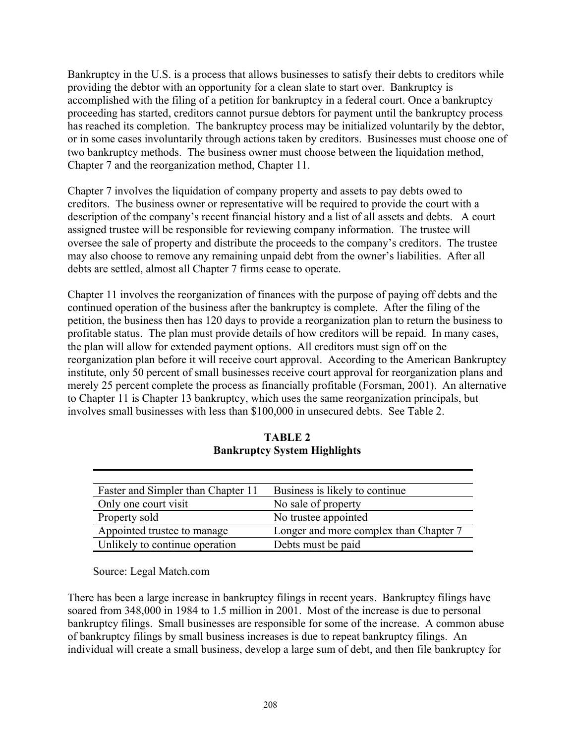Bankruptcy in the U.S. is a process that allows businesses to satisfy their debts to creditors while providing the debtor with an opportunity for a clean slate to start over. Bankruptcy is accomplished with the filing of a petition for bankruptcy in a federal court. Once a bankruptcy proceeding has started, creditors cannot pursue debtors for payment until the bankruptcy process has reached its completion. The bankruptcy process may be initialized voluntarily by the debtor, or in some cases involuntarily through actions taken by creditors. Businesses must choose one of two bankruptcy methods. The business owner must choose between the liquidation method, Chapter 7 and the reorganization method, Chapter 11.

Chapter 7 involves the liquidation of company property and assets to pay debts owed to creditors. The business owner or representative will be required to provide the court with a description of the company's recent financial history and a list of all assets and debts. A court assigned trustee will be responsible for reviewing company information. The trustee will oversee the sale of property and distribute the proceeds to the company's creditors. The trustee may also choose to remove any remaining unpaid debt from the owner's liabilities. After all debts are settled, almost all Chapter 7 firms cease to operate.

Chapter 11 involves the reorganization of finances with the purpose of paying off debts and the continued operation of the business after the bankruptcy is complete. After the filing of the petition, the business then has 120 days to provide a reorganization plan to return the business to profitable status. The plan must provide details of how creditors will be repaid. In many cases, the plan will allow for extended payment options. All creditors must sign off on the reorganization plan before it will receive court approval. According to the American Bankruptcy institute, only 50 percent of small businesses receive court approval for reorganization plans and merely 25 percent complete the process as financially profitable (Forsman, 2001). An alternative to Chapter 11 is Chapter 13 bankruptcy, which uses the same reorganization principals, but involves small businesses with less than \$100,000 in unsecured debts. See Table 2.

| Faster and Simpler than Chapter 11 | Business is likely to continue.        |  |  |
|------------------------------------|----------------------------------------|--|--|
| Only one court visit               | No sale of property                    |  |  |
| Property sold                      | No trustee appointed                   |  |  |
| Appointed trustee to manage        | Longer and more complex than Chapter 7 |  |  |
| Unlikely to continue operation     | Debts must be paid                     |  |  |

**TABLE 2 Bankruptcy System Highlights** 

Source: Legal Match.com

There has been a large increase in bankruptcy filings in recent years. Bankruptcy filings have soared from 348,000 in 1984 to 1.5 million in 2001. Most of the increase is due to personal bankruptcy filings. Small businesses are responsible for some of the increase. A common abuse of bankruptcy filings by small business increases is due to repeat bankruptcy filings. An individual will create a small business, develop a large sum of debt, and then file bankruptcy for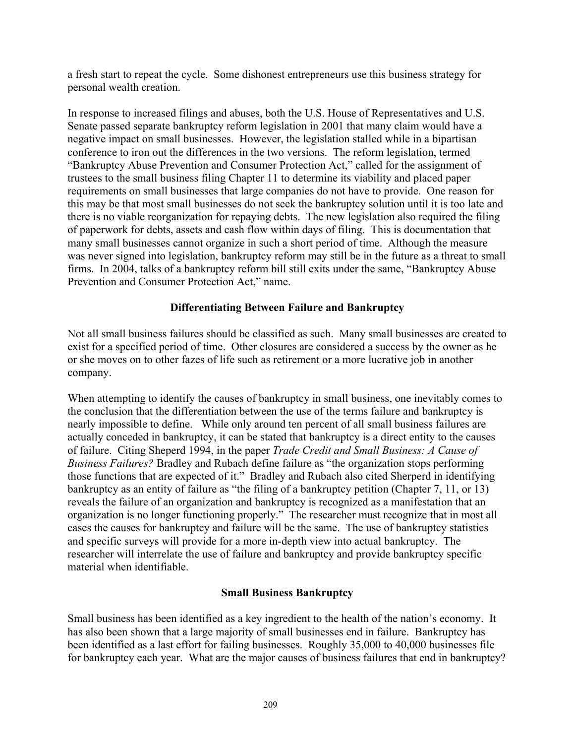a fresh start to repeat the cycle. Some dishonest entrepreneurs use this business strategy for personal wealth creation.

In response to increased filings and abuses, both the U.S. House of Representatives and U.S. Senate passed separate bankruptcy reform legislation in 2001 that many claim would have a negative impact on small businesses. However, the legislation stalled while in a bipartisan conference to iron out the differences in the two versions. The reform legislation, termed "Bankruptcy Abuse Prevention and Consumer Protection Act," called for the assignment of trustees to the small business filing Chapter 11 to determine its viability and placed paper requirements on small businesses that large companies do not have to provide. One reason for this may be that most small businesses do not seek the bankruptcy solution until it is too late and there is no viable reorganization for repaying debts. The new legislation also required the filing of paperwork for debts, assets and cash flow within days of filing. This is documentation that many small businesses cannot organize in such a short period of time. Although the measure was never signed into legislation, bankruptcy reform may still be in the future as a threat to small firms. In 2004, talks of a bankruptcy reform bill still exits under the same, "Bankruptcy Abuse Prevention and Consumer Protection Act," name.

# **Differentiating Between Failure and Bankruptcy**

Not all small business failures should be classified as such. Many small businesses are created to exist for a specified period of time. Other closures are considered a success by the owner as he or she moves on to other fazes of life such as retirement or a more lucrative job in another company.

When attempting to identify the causes of bankruptcy in small business, one inevitably comes to the conclusion that the differentiation between the use of the terms failure and bankruptcy is nearly impossible to define. While only around ten percent of all small business failures are actually conceded in bankruptcy, it can be stated that bankruptcy is a direct entity to the causes of failure. Citing Sheperd 1994, in the paper *Trade Credit and Small Business: A Cause of Business Failures?* Bradley and Rubach define failure as "the organization stops performing those functions that are expected of it." Bradley and Rubach also cited Sherperd in identifying bankruptcy as an entity of failure as "the filing of a bankruptcy petition (Chapter 7, 11, or 13) reveals the failure of an organization and bankruptcy is recognized as a manifestation that an organization is no longer functioning properly." The researcher must recognize that in most all cases the causes for bankruptcy and failure will be the same. The use of bankruptcy statistics and specific surveys will provide for a more in-depth view into actual bankruptcy. The researcher will interrelate the use of failure and bankruptcy and provide bankruptcy specific material when identifiable.

# **Small Business Bankruptcy**

Small business has been identified as a key ingredient to the health of the nation's economy. It has also been shown that a large majority of small businesses end in failure. Bankruptcy has been identified as a last effort for failing businesses. Roughly 35,000 to 40,000 businesses file for bankruptcy each year. What are the major causes of business failures that end in bankruptcy?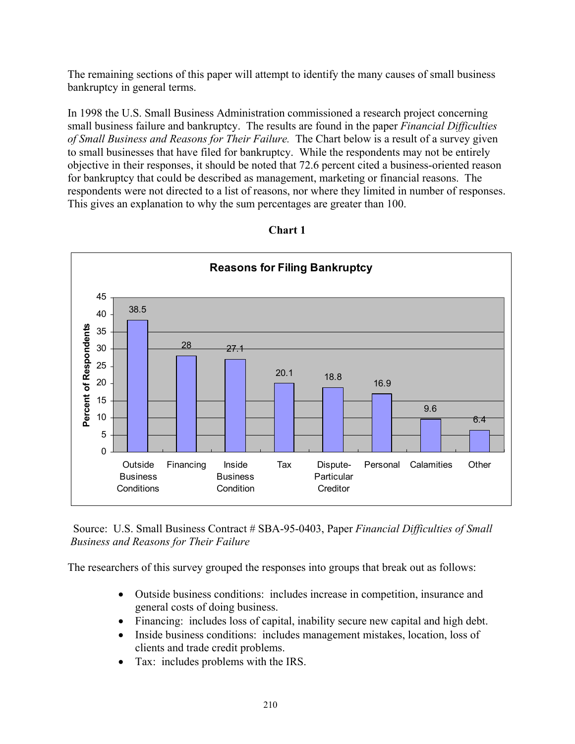The remaining sections of this paper will attempt to identify the many causes of small business bankruptcy in general terms.

In 1998 the U.S. Small Business Administration commissioned a research project concerning small business failure and bankruptcy. The results are found in the paper *Financial Difficulties of Small Business and Reasons for Their Failure.* The Chart below is a result of a survey given to small businesses that have filed for bankruptcy. While the respondents may not be entirely objective in their responses, it should be noted that 72.6 percent cited a business-oriented reason for bankruptcy that could be described as management, marketing or financial reasons. The respondents were not directed to a list of reasons, nor where they limited in number of responses. This gives an explanation to why the sum percentages are greater than 100.



**Chart 1** 

 Source: U.S. Small Business Contract # SBA-95-0403, Paper *Financial Difficulties of Small Business and Reasons for Their Failure*

The researchers of this survey grouped the responses into groups that break out as follows:

- Outside business conditions: includes increase in competition, insurance and general costs of doing business.
- Financing: includes loss of capital, inability secure new capital and high debt.
- Inside business conditions: includes management mistakes, location, loss of clients and trade credit problems.
- Tax: includes problems with the IRS.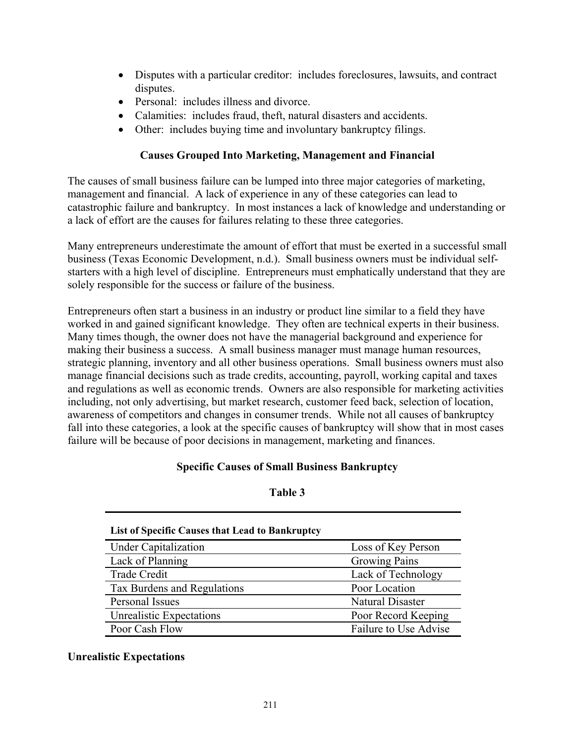- Disputes with a particular creditor: includes foreclosures, lawsuits, and contract disputes.
- Personal: includes illness and divorce.
- Calamities: includes fraud, theft, natural disasters and accidents.
- Other: includes buying time and involuntary bankruptcy filings.

# **Causes Grouped Into Marketing, Management and Financial**

The causes of small business failure can be lumped into three major categories of marketing, management and financial. A lack of experience in any of these categories can lead to catastrophic failure and bankruptcy. In most instances a lack of knowledge and understanding or a lack of effort are the causes for failures relating to these three categories.

Many entrepreneurs underestimate the amount of effort that must be exerted in a successful small business (Texas Economic Development, n.d.). Small business owners must be individual selfstarters with a high level of discipline. Entrepreneurs must emphatically understand that they are solely responsible for the success or failure of the business.

Entrepreneurs often start a business in an industry or product line similar to a field they have worked in and gained significant knowledge. They often are technical experts in their business. Many times though, the owner does not have the managerial background and experience for making their business a success. A small business manager must manage human resources, strategic planning, inventory and all other business operations. Small business owners must also manage financial decisions such as trade credits, accounting, payroll, working capital and taxes and regulations as well as economic trends. Owners are also responsible for marketing activities including, not only advertising, but market research, customer feed back, selection of location, awareness of competitors and changes in consumer trends. While not all causes of bankruptcy fall into these categories, a look at the specific causes of bankruptcy will show that in most cases failure will be because of poor decisions in management, marketing and finances.

# **Specific Causes of Small Business Bankruptcy**

#### **Table 3**

| List of Specific Causes that Lead to Bankruptcy |                         |  |  |  |  |  |
|-------------------------------------------------|-------------------------|--|--|--|--|--|
| <b>Under Capitalization</b>                     | Loss of Key Person      |  |  |  |  |  |
| Lack of Planning                                | <b>Growing Pains</b>    |  |  |  |  |  |
| <b>Trade Credit</b>                             | Lack of Technology      |  |  |  |  |  |
| Tax Burdens and Regulations                     | Poor Location           |  |  |  |  |  |
| Personal Issues                                 | <b>Natural Disaster</b> |  |  |  |  |  |
| Unrealistic Expectations                        | Poor Record Keeping     |  |  |  |  |  |
| Poor Cash Flow                                  | Failure to Use Advise   |  |  |  |  |  |

# **Unrealistic Expectations**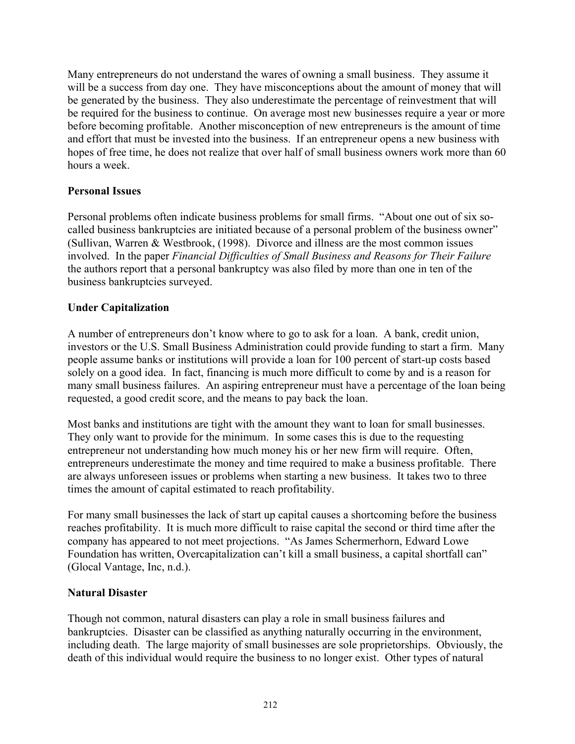Many entrepreneurs do not understand the wares of owning a small business. They assume it will be a success from day one. They have misconceptions about the amount of money that will be generated by the business. They also underestimate the percentage of reinvestment that will be required for the business to continue. On average most new businesses require a year or more before becoming profitable. Another misconception of new entrepreneurs is the amount of time and effort that must be invested into the business. If an entrepreneur opens a new business with hopes of free time, he does not realize that over half of small business owners work more than 60 hours a week.

# **Personal Issues**

Personal problems often indicate business problems for small firms. "About one out of six socalled business bankruptcies are initiated because of a personal problem of the business owner" (Sullivan, Warren & Westbrook, (1998). Divorce and illness are the most common issues involved. In the paper *Financial Difficulties of Small Business and Reasons for Their Failure* the authors report that a personal bankruptcy was also filed by more than one in ten of the business bankruptcies surveyed.

# **Under Capitalization**

A number of entrepreneurs don't know where to go to ask for a loan. A bank, credit union, investors or the U.S. Small Business Administration could provide funding to start a firm. Many people assume banks or institutions will provide a loan for 100 percent of start-up costs based solely on a good idea. In fact, financing is much more difficult to come by and is a reason for many small business failures. An aspiring entrepreneur must have a percentage of the loan being requested, a good credit score, and the means to pay back the loan.

Most banks and institutions are tight with the amount they want to loan for small businesses. They only want to provide for the minimum. In some cases this is due to the requesting entrepreneur not understanding how much money his or her new firm will require. Often, entrepreneurs underestimate the money and time required to make a business profitable. There are always unforeseen issues or problems when starting a new business. It takes two to three times the amount of capital estimated to reach profitability.

For many small businesses the lack of start up capital causes a shortcoming before the business reaches profitability. It is much more difficult to raise capital the second or third time after the company has appeared to not meet projections. "As James Schermerhorn, Edward Lowe Foundation has written, Overcapitalization can't kill a small business, a capital shortfall can" (Glocal Vantage, Inc, n.d.).

# **Natural Disaster**

Though not common, natural disasters can play a role in small business failures and bankruptcies. Disaster can be classified as anything naturally occurring in the environment, including death. The large majority of small businesses are sole proprietorships. Obviously, the death of this individual would require the business to no longer exist. Other types of natural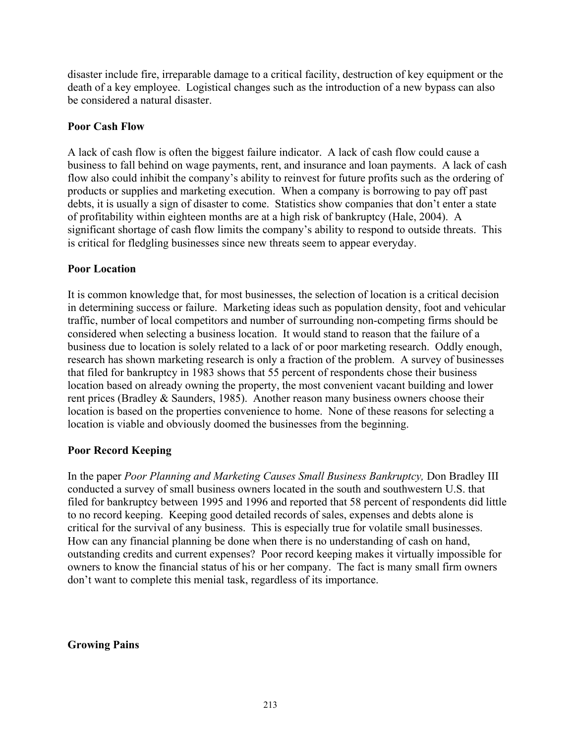disaster include fire, irreparable damage to a critical facility, destruction of key equipment or the death of a key employee. Logistical changes such as the introduction of a new bypass can also be considered a natural disaster.

#### **Poor Cash Flow**

A lack of cash flow is often the biggest failure indicator. A lack of cash flow could cause a business to fall behind on wage payments, rent, and insurance and loan payments. A lack of cash flow also could inhibit the company's ability to reinvest for future profits such as the ordering of products or supplies and marketing execution. When a company is borrowing to pay off past debts, it is usually a sign of disaster to come. Statistics show companies that don't enter a state of profitability within eighteen months are at a high risk of bankruptcy (Hale, 2004). A significant shortage of cash flow limits the company's ability to respond to outside threats. This is critical for fledgling businesses since new threats seem to appear everyday.

#### **Poor Location**

It is common knowledge that, for most businesses, the selection of location is a critical decision in determining success or failure. Marketing ideas such as population density, foot and vehicular traffic, number of local competitors and number of surrounding non-competing firms should be considered when selecting a business location. It would stand to reason that the failure of a business due to location is solely related to a lack of or poor marketing research. Oddly enough, research has shown marketing research is only a fraction of the problem. A survey of businesses that filed for bankruptcy in 1983 shows that 55 percent of respondents chose their business location based on already owning the property, the most convenient vacant building and lower rent prices (Bradley & Saunders, 1985). Another reason many business owners choose their location is based on the properties convenience to home. None of these reasons for selecting a location is viable and obviously doomed the businesses from the beginning.

# **Poor Record Keeping**

In the paper *Poor Planning and Marketing Causes Small Business Bankruptcy,* Don Bradley III conducted a survey of small business owners located in the south and southwestern U.S. that filed for bankruptcy between 1995 and 1996 and reported that 58 percent of respondents did little to no record keeping. Keeping good detailed records of sales, expenses and debts alone is critical for the survival of any business. This is especially true for volatile small businesses. How can any financial planning be done when there is no understanding of cash on hand, outstanding credits and current expenses? Poor record keeping makes it virtually impossible for owners to know the financial status of his or her company. The fact is many small firm owners don't want to complete this menial task, regardless of its importance.

**Growing Pains**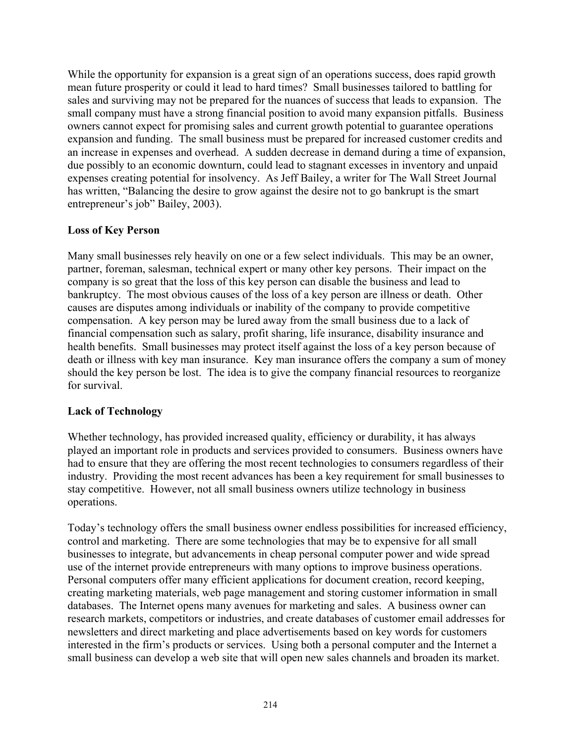While the opportunity for expansion is a great sign of an operations success, does rapid growth mean future prosperity or could it lead to hard times? Small businesses tailored to battling for sales and surviving may not be prepared for the nuances of success that leads to expansion. The small company must have a strong financial position to avoid many expansion pitfalls. Business owners cannot expect for promising sales and current growth potential to guarantee operations expansion and funding. The small business must be prepared for increased customer credits and an increase in expenses and overhead. A sudden decrease in demand during a time of expansion, due possibly to an economic downturn, could lead to stagnant excesses in inventory and unpaid expenses creating potential for insolvency. As Jeff Bailey, a writer for The Wall Street Journal has written, "Balancing the desire to grow against the desire not to go bankrupt is the smart entrepreneur's job" Bailey, 2003).

# **Loss of Key Person**

Many small businesses rely heavily on one or a few select individuals. This may be an owner, partner, foreman, salesman, technical expert or many other key persons. Their impact on the company is so great that the loss of this key person can disable the business and lead to bankruptcy. The most obvious causes of the loss of a key person are illness or death. Other causes are disputes among individuals or inability of the company to provide competitive compensation. A key person may be lured away from the small business due to a lack of financial compensation such as salary, profit sharing, life insurance, disability insurance and health benefits. Small businesses may protect itself against the loss of a key person because of death or illness with key man insurance. Key man insurance offers the company a sum of money should the key person be lost. The idea is to give the company financial resources to reorganize for survival.

# **Lack of Technology**

Whether technology, has provided increased quality, efficiency or durability, it has always played an important role in products and services provided to consumers. Business owners have had to ensure that they are offering the most recent technologies to consumers regardless of their industry. Providing the most recent advances has been a key requirement for small businesses to stay competitive. However, not all small business owners utilize technology in business operations.

Today's technology offers the small business owner endless possibilities for increased efficiency, control and marketing. There are some technologies that may be to expensive for all small businesses to integrate, but advancements in cheap personal computer power and wide spread use of the internet provide entrepreneurs with many options to improve business operations. Personal computers offer many efficient applications for document creation, record keeping, creating marketing materials, web page management and storing customer information in small databases. The Internet opens many avenues for marketing and sales. A business owner can research markets, competitors or industries, and create databases of customer email addresses for newsletters and direct marketing and place advertisements based on key words for customers interested in the firm's products or services. Using both a personal computer and the Internet a small business can develop a web site that will open new sales channels and broaden its market.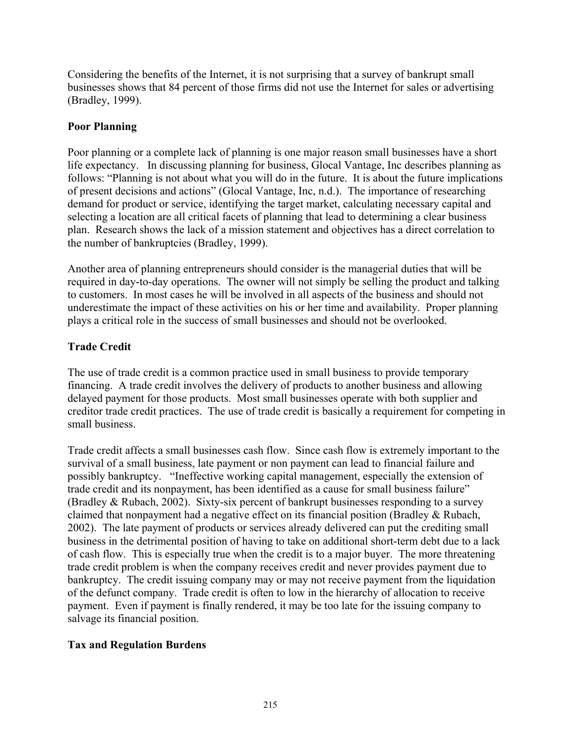Considering the benefits of the Internet, it is not surprising that a survey of bankrupt small businesses shows that 84 percent of those firms did not use the Internet for sales or advertising (Bradley, 1999).

#### **Poor Planning**

Poor planning or a complete lack of planning is one major reason small businesses have a short life expectancy. In discussing planning for business, Glocal Vantage, Inc describes planning as follows: "Planning is not about what you will do in the future. It is about the future implications of present decisions and actions" (Glocal Vantage, Inc, n.d.). The importance of researching demand for product or service, identifying the target market, calculating necessary capital and selecting a location are all critical facets of planning that lead to determining a clear business plan. Research shows the lack of a mission statement and objectives has a direct correlation to the number of bankruptcies (Bradley, 1999).

Another area of planning entrepreneurs should consider is the managerial duties that will be required in day-to-day operations. The owner will not simply be selling the product and talking to customers. In most cases he will be involved in all aspects of the business and should not underestimate the impact of these activities on his or her time and availability. Proper planning plays a critical role in the success of small businesses and should not be overlooked.

# **Trade Credit**

The use of trade credit is a common practice used in small business to provide temporary financing. A trade credit involves the delivery of products to another business and allowing delayed payment for those products. Most small businesses operate with both supplier and creditor trade credit practices. The use of trade credit is basically a requirement for competing in small business.

Trade credit affects a small businesses cash flow. Since cash flow is extremely important to the survival of a small business, late payment or non payment can lead to financial failure and possibly bankruptcy. "Ineffective working capital management, especially the extension of trade credit and its nonpayment, has been identified as a cause for small business failure" (Bradley & Rubach, 2002). Sixty-six percent of bankrupt businesses responding to a survey claimed that nonpayment had a negative effect on its financial position (Bradley & Rubach, 2002). The late payment of products or services already delivered can put the crediting small business in the detrimental position of having to take on additional short-term debt due to a lack of cash flow. This is especially true when the credit is to a major buyer. The more threatening trade credit problem is when the company receives credit and never provides payment due to bankruptcy. The credit issuing company may or may not receive payment from the liquidation of the defunct company. Trade credit is often to low in the hierarchy of allocation to receive payment. Even if payment is finally rendered, it may be too late for the issuing company to salvage its financial position.

# **Tax and Regulation Burdens**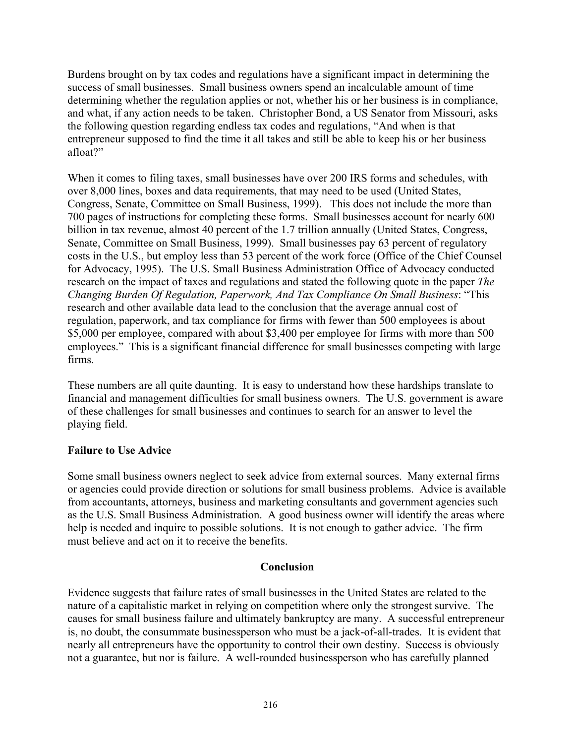Burdens brought on by tax codes and regulations have a significant impact in determining the success of small businesses. Small business owners spend an incalculable amount of time determining whether the regulation applies or not, whether his or her business is in compliance, and what, if any action needs to be taken. Christopher Bond, a US Senator from Missouri, asks the following question regarding endless tax codes and regulations, "And when is that entrepreneur supposed to find the time it all takes and still be able to keep his or her business afloat?"

When it comes to filing taxes, small businesses have over 200 IRS forms and schedules, with over 8,000 lines, boxes and data requirements, that may need to be used (United States, Congress, Senate, Committee on Small Business, 1999). This does not include the more than 700 pages of instructions for completing these forms. Small businesses account for nearly 600 billion in tax revenue, almost 40 percent of the 1.7 trillion annually (United States, Congress, Senate, Committee on Small Business, 1999). Small businesses pay 63 percent of regulatory costs in the U.S., but employ less than 53 percent of the work force (Office of the Chief Counsel for Advocacy, 1995). The U.S. Small Business Administration Office of Advocacy conducted research on the impact of taxes and regulations and stated the following quote in the paper *The Changing Burden Of Regulation, Paperwork, And Tax Compliance On Small Business*: "This research and other available data lead to the conclusion that the average annual cost of regulation, paperwork, and tax compliance for firms with fewer than 500 employees is about \$5,000 per employee, compared with about \$3,400 per employee for firms with more than 500 employees." This is a significant financial difference for small businesses competing with large firms.

These numbers are all quite daunting. It is easy to understand how these hardships translate to financial and management difficulties for small business owners. The U.S. government is aware of these challenges for small businesses and continues to search for an answer to level the playing field.

# **Failure to Use Advice**

Some small business owners neglect to seek advice from external sources. Many external firms or agencies could provide direction or solutions for small business problems. Advice is available from accountants, attorneys, business and marketing consultants and government agencies such as the U.S. Small Business Administration. A good business owner will identify the areas where help is needed and inquire to possible solutions. It is not enough to gather advice. The firm must believe and act on it to receive the benefits.

#### **Conclusion**

Evidence suggests that failure rates of small businesses in the United States are related to the nature of a capitalistic market in relying on competition where only the strongest survive. The causes for small business failure and ultimately bankruptcy are many. A successful entrepreneur is, no doubt, the consummate businessperson who must be a jack-of-all-trades. It is evident that nearly all entrepreneurs have the opportunity to control their own destiny. Success is obviously not a guarantee, but nor is failure. A well-rounded businessperson who has carefully planned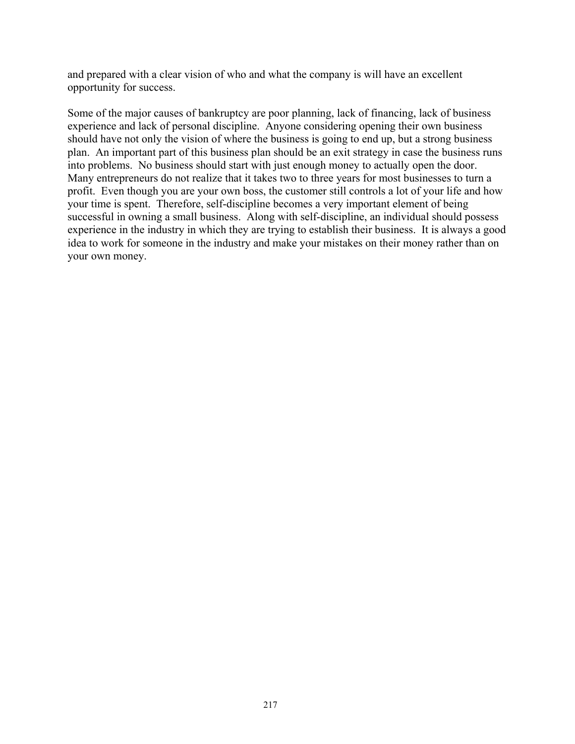and prepared with a clear vision of who and what the company is will have an excellent opportunity for success.

Some of the major causes of bankruptcy are poor planning, lack of financing, lack of business experience and lack of personal discipline. Anyone considering opening their own business should have not only the vision of where the business is going to end up, but a strong business plan. An important part of this business plan should be an exit strategy in case the business runs into problems. No business should start with just enough money to actually open the door. Many entrepreneurs do not realize that it takes two to three years for most businesses to turn a profit. Even though you are your own boss, the customer still controls a lot of your life and how your time is spent. Therefore, self-discipline becomes a very important element of being successful in owning a small business. Along with self-discipline, an individual should possess experience in the industry in which they are trying to establish their business. It is always a good idea to work for someone in the industry and make your mistakes on their money rather than on your own money.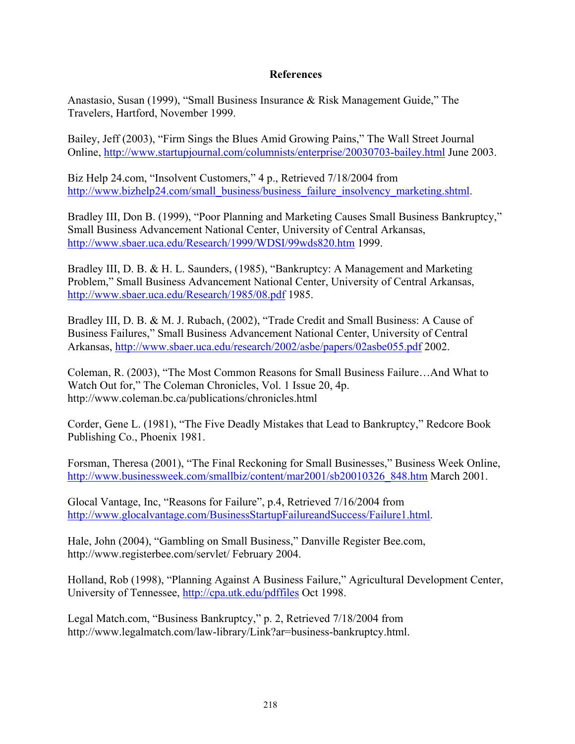#### **References**

Anastasio, Susan (1999), "Small Business Insurance & Risk Management Guide," The Travelers, Hartford, November 1999.

Bailey, Jeff (2003), "Firm Sings the Blues Amid Growing Pains," The Wall Street Journal Online, http://www.startupjournal.com/columnists/enterprise/20030703-bailey.html June 2003.

Biz Help 24.com, "Insolvent Customers," 4 p., Retrieved 7/18/2004 from http://www.bizhelp24.com/small\_business/business\_failure\_insolvency\_marketing.shtml.

Bradley III, Don B. (1999), "Poor Planning and Marketing Causes Small Business Bankruptcy," Small Business Advancement National Center, University of Central Arkansas, http://www.sbaer.uca.edu/Research/1999/WDSI/99wds820.htm 1999.

Bradley III, D. B. & H. L. Saunders, (1985), "Bankruptcy: A Management and Marketing Problem," Small Business Advancement National Center, University of Central Arkansas, http://www.sbaer.uca.edu/Research/1985/08.pdf 1985.

Bradley III, D. B. & M. J. Rubach, (2002), "Trade Credit and Small Business: A Cause of Business Failures," Small Business Advancement National Center, University of Central Arkansas, http://www.sbaer.uca.edu/research/2002/asbe/papers/02asbe055.pdf 2002.

Coleman, R. (2003), "The Most Common Reasons for Small Business Failure…And What to Watch Out for," The Coleman Chronicles, Vol. 1 Issue 20, 4p. http://www.coleman.bc.ca/publications/chronicles.html

Corder, Gene L. (1981), "The Five Deadly Mistakes that Lead to Bankruptcy," Redcore Book Publishing Co., Phoenix 1981.

Forsman, Theresa (2001), "The Final Reckoning for Small Businesses," Business Week Online, http://www.businessweek.com/smallbiz/content/mar2001/sb20010326\_848.htm March 2001.

Glocal Vantage, Inc, "Reasons for Failure", p.4, Retrieved 7/16/2004 from http://www.glocalvantage.com/BusinessStartupFailureandSuccess/Failure1.html.

Hale, John (2004), "Gambling on Small Business," Danville Register Bee.com, http://www.registerbee.com/servlet/ February 2004.

Holland, Rob (1998), "Planning Against A Business Failure," Agricultural Development Center, University of Tennessee, http://cpa.utk.edu/pdffiles Oct 1998.

Legal Match.com, "Business Bankruptcy," p. 2, Retrieved 7/18/2004 from http://www.legalmatch.com/law-library/Link?ar=business-bankruptcy.html.